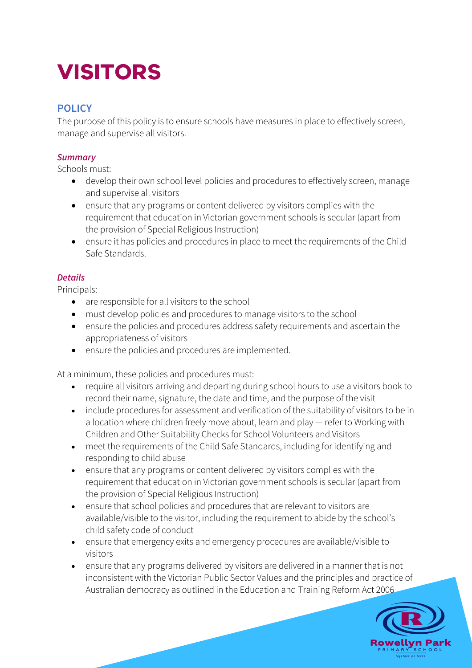# **VISITORS**

# **POLICY**

The purpose of this policy is to ensure schools have measures in place to effectively screen, manage and supervise all visitors.

## *Summary*

Schools must:

- develop their own school level policies and procedures to effectively screen, manage and supervise all visitors
- ensure that any programs or content delivered by visitors complies with the requirement that education in Victorian government schools is secular (apart from the provision of Special Religious Instruction)
- ensure it has policies and procedures in place to meet the requirements of the Child Safe Standards.

## *Details*

Principals:

- are responsible for all visitors to the school
- must develop policies and procedures to manage visitors to the school
- ensure the policies and procedures address safety requirements and ascertain the appropriateness of visitors
- ensure the policies and procedures are implemented.

At a minimum, these policies and procedures must:

- require all visitors arriving and departing during school hours to use a visitors book to record their name, signature, the date and time, and the purpose of the visit
- include procedures for assessment and verification of the suitability of visitors to be in a location where children freely move about, learn and play — refer to Working with Children and Other Suitability Checks for School Volunteers and Visitors
- meet the requirements of the Child Safe Standards, including for identifying and responding to child abuse
- ensure that any programs or content delivered by visitors complies with the requirement that education in Victorian government schools is secular (apart from the provision of Special Religious Instruction)
- ensure that school policies and procedures that are relevant to visitors are available/visible to the visitor, including the requirement to abide by the school's child safety code of conduct
- ensure that emergency exits and emergency procedures are available/visible to visitors
- ensure that any programs delivered by visitors are delivered in a manner that is not inconsistent with the Victorian Public Sector Values and the principles and practice of Australian democracy as outlined in the Education and Training Reform Act 2006

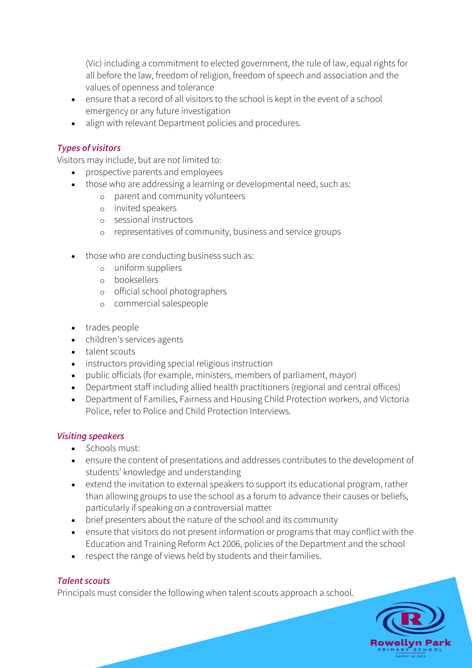(Vic) including a commitment to elected government, the rule of law, equal rights for all before the law, freedom of religion, freedom of speech and association and the values of openness and tolerance

- ensure that a record of all visitors to the school is kept in the event of a school emergency or any future investigation
- align with relevant Department policies and procedures.

## *Types of visitors*

Visitors may include, but are not limited to:

- prospective parents and employees
- those who are addressing a learning or developmental need, such as:
	- o parent and community volunteers
	- o invited speakers
	- o sessional instructors
	- o representatives of community, business and service groups
- those who are conducting business such as:
	- o uniform suppliers
	- o booksellers
	- o official school photographers
	- o commercial salespeople
- trades people
- children's services agents
- talent scouts
- instructors providing special religious instruction
- public officials (for example, ministers, members of parliament, mayor)
- Department staff including allied health practitioners (regional and central offices)
- Department of Families, Fairness and Housing Child Protection workers, and Victoria Police, refer to Police and Child Protection Interviews.

## *Visiting speakers*

- Schools must:
- ensure the content of presentations and addresses contributes to the development of students' knowledge and understanding
- extend the invitation to external speakers to support its educational program, rather than allowing groups to use the school as a forum to advance their causes or beliefs, particularly if speaking on a controversial matter
- brief presenters about the nature of the school and its community
- ensure that visitors do not present information or programs that may conflict with the Education and Training Reform Act 2006, policies of the Department and the school
- respect the range of views held by students and their families.

## *Talent scouts*

Principals must consider the following when talent scouts approach a school.

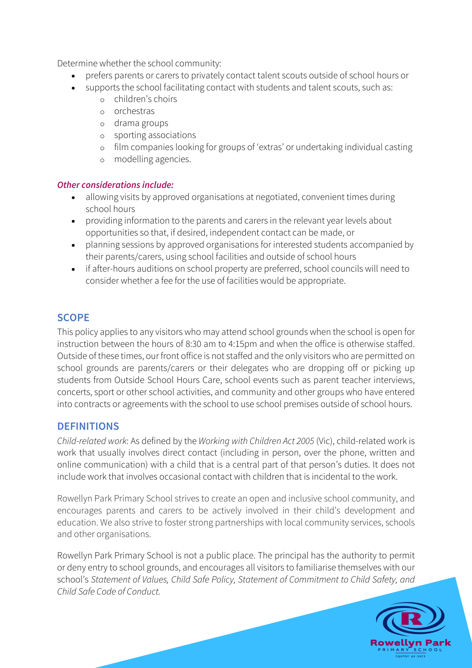Determine whether the school community:

- prefers parents or carers to privately contact talent scouts outside of school hours or
- supports the school facilitating contact with students and talent scouts, such as:
	- o children's choirs
	- o orchestras
	- o drama groups
	- o sporting associations
	- o film companies looking for groups of 'extras' or undertaking individual casting
	- o modelling agencies.

## *Other considerations include:*

- allowing visits by approved organisations at negotiated, convenient times during school hours
- providing information to the parents and carers in the relevant year levels about opportunities so that, if desired, independent contact can be made, or
- planning sessions by approved organisations for interested students accompanied by their parents/carers, using school facilities and outside of school hours
- if after-hours auditions on school property are preferred, school councils will need to consider whether a fee for the use of facilities would be appropriate.

# **SCOPE**

This policy applies to any visitors who may attend school grounds when the school is open for instruction between the hours of 8:30 am to 4:15pm and when the office is otherwise staffed. Outside of these times, our front office is not staffed and the only visitors who are permitted on school grounds are parents/carers or their delegates who are dropping off or picking up students from Outside School Hours Care, school events such as parent teacher interviews, concerts, sport or other school activities, and community and other groups who have entered into contracts or agreements with the school to use school premises outside of school hours.

# **DEFINITIONS**

*Child-related work*: As defined by the *Working with Children Act 2005* (Vic), child-related work is work that usually involves direct contact (including in person, over the phone, written and online communication) with a child that is a central part of that person's duties. It does not include work that involves occasional contact with children that is incidental to the work.

Rowellyn Park Primary School strives to create an open and inclusive school community, and encourages parents and carers to be actively involved in their child's development and education. We also strive to foster strong partnerships with local community services, schools and other organisations.

Rowellyn Park Primary School is not a public place. The principal has the authority to permit or deny entry to school grounds, and encourages all visitors to familiarise themselves with our school's *Statement of Values, Child Safe Policy, Statement of Commitment to Child Safety, and Child Safe Code of Conduct.* 

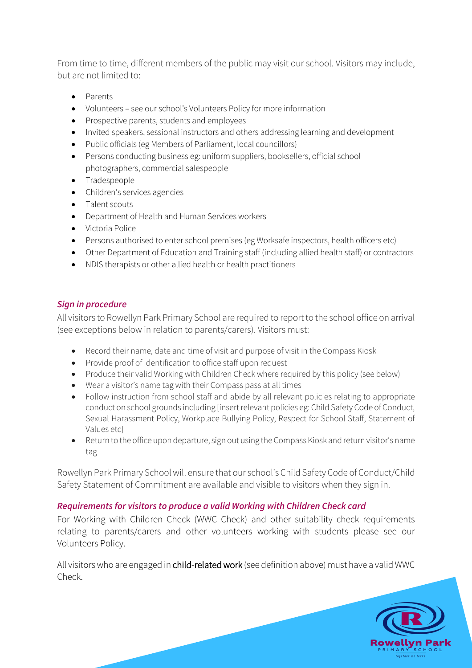From time to time, different members of the public may visit our school. Visitors may include, but are not limited to:

- Parents
- Volunteers see our school's Volunteers Policy for more information
- Prospective parents, students and employees
- Invited speakers, sessional instructors and others addressing learning and development
- Public officials (eg Members of Parliament, local councillors)
- Persons conducting business eg: uniform suppliers, booksellers, official school photographers, commercial salespeople
- Tradespeople
- Children's services agencies
- Talent scouts
- Department of Health and Human Services workers
- Victoria Police
- Persons authorised to enter school premises (eg Worksafe inspectors, health officers etc)
- Other Department of Education and Training staff (including allied health staff) or contractors
- NDIS therapists or other allied health or health practitioners

#### *Sign in procedure*

All visitors to Rowellyn Park Primary School are required to report to the school office on arrival (see exceptions below in relation to parents/carers). Visitors must:

- Record their name, date and time of visit and purpose of visit in the Compass Kiosk
- Provide proof of identification to office staff upon request
- Produce their valid Working with Children Check where required by this policy (see below)
- Wear a visitor's name tag with their Compass pass at all times
- Follow instruction from school staff and abide by all relevant policies relating to appropriate conduct on school grounds including [insert relevant policies eg: Child Safety Code of Conduct, Sexual Harassment Policy, Workplace Bullying Policy, Respect for School Staff, Statement of Values etc]
- Return to the office upon departure, sign out using the Compass Kiosk and return visitor's name tag

Rowellyn Park Primary School will ensure that our school's Child Safety Code of Conduct/Child Safety Statement of Commitment are available and visible to visitors when they sign in.

## *Requirements for visitors to produce a valid Working with Children Check card*

For Working with Children Check (WWC Check) and other suitability check requirements relating to parents/carers and other volunteers working with students please see our Volunteers Policy.

All visitors who are engaged in child-related work (see definition above) must have a valid WWC Check.

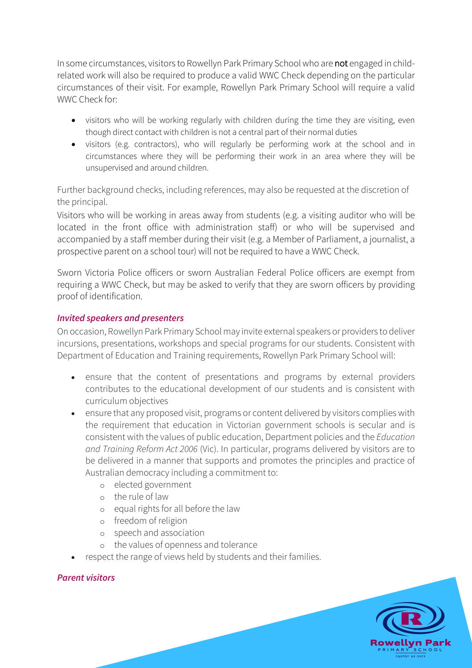In some circumstances, visitors to Rowellyn Park Primary School who are not engaged in childrelated work will also be required to produce a valid WWC Check depending on the particular circumstances of their visit. For example, Rowellyn Park Primary School will require a valid WWC Check for:

- visitors who will be working regularly with children during the time they are visiting, even though direct contact with children is not a central part of their normal duties
- visitors (e.g. contractors), who will regularly be performing work at the school and in circumstances where they will be performing their work in an area where they will be unsupervised and around children.

Further background checks, including references, may also be requested at the discretion of the principal.

Visitors who will be working in areas away from students (e.g. a visiting auditor who will be located in the front office with administration staff) or who will be supervised and accompanied by a staff member during their visit (e.g. a Member of Parliament, a journalist, a prospective parent on a school tour) will not be required to have a WWC Check.

Sworn Victoria Police officers or sworn Australian Federal Police officers are exempt from requiring a WWC Check, but may be asked to verify that they are sworn officers by providing proof of identification.

## *Invited speakers and presenters*

On occasion, Rowellyn Park Primary School may invite external speakers or providers to deliver incursions, presentations, workshops and special programs for our students. Consistent with Department of Education and Training requirements, Rowellyn Park Primary School will:

- ensure that the content of presentations and programs by external providers contributes to the educational development of our students and is consistent with curriculum objectives
- ensure that any proposed visit, programs or content delivered by visitors complies with the requirement that education in Victorian government schools is secular and is consistent with the values of public education, Department policies and the *Education and Training Reform Act 2006* (Vic). In particular, programs delivered by visitors are to be delivered in a manner that supports and promotes the principles and practice of Australian democracy including a commitment to:
	- o elected government
	- o the rule of law
	- o equal rights for all before the law
	- o freedom of religion
	- o speech and association
	- o the values of openness and tolerance
- respect the range of views held by students and their families.

## *Parent visitors*